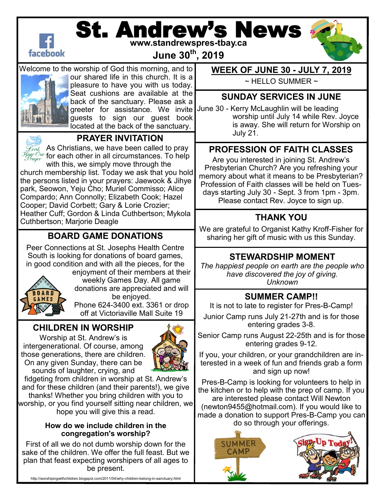

# St. Andrew's News **www.standrewspres-tbay.ca**

**June 30th, 2019**





Welcome to the worship of God this morning, and to our shared life in this church. It is a pleasure to have you with us today. Seat cushions are available at the back of the sanctuary. Please ask a greeter for assistance. We invite guests to sign our guest book located at the back of the sanctuary.



# **PRAYER INVITATION**

 $\mathscr{L}_{\mathit{ord}}$  As Christians, we have been called to pray  $\frac{\mathcal{F}_{\textit{fear Our}}}{\mathcal{F}_{\textit{rauer}}}$  for each other in all circumstances. To help

with this, we simply move through the church membership list. Today we ask that you hold the persons listed in your prayers: Jaewook & Jihye park, Seowon, Yeju Cho; Muriel Commisso; Alice Compardo; Ann Connolly; Elizabeth Cook; Hazel Cooper; David Corbett; Gary & Lorie Crozier; Heather Cuff; Gordon & Linda Cuthbertson; Mykola Cuthbertson; Marjorie Deagle

### **BOARD GAME DONATIONS**

Peer Connections at St. Josephs Health Centre South is looking for donations of board games, in good condition and with all the pieces, for the



enjoyment of their members at their weekly Games Day. All game donations are appreciated and will be enjoyed.

Phone 624-3400 ext. 3361 or drop off at Victoriaville Mall Suite 19

### **CHILDREN IN WORSHIP**

Worship at St. Andrew's is intergenerational. Of course, among those generations, there are children. On any given Sunday, there can be sounds of laughter, crying, and



fidgeting from children in worship at St. Andrew's and for these children (and their parents!), we give thanks! Whether you bring children with you to worship, or you find yourself sitting near children, we hope you will give this a read.

#### **How do we include children in the congregation's worship?**

First of all we do not dumb worship down for the sake of the children. We offer the full feast. But we plan that feast expecting worshipers of all ages to be present.

http://worshipingwithchildren.blogspot.com/2011/04/why-children-belong-in-sanctuary.html

#### **WEEK OF JUNE 30 - JULY 7, 2019**

 $\sim$  HELLO SUMMER  $\sim$ 

#### **SUNDAY SERVICES IN JUNE**

June 30 - Kerry McLaughlin will be leading worship until July 14 while Rev. Joyce is away. She will return for Worship on July 21.

# **PROFESSION OF FAITH CLASSES**

Are you interested in joining St. Andrew's Presbyterian Church? Are you refreshing your memory about what it means to be Presbyterian? Profession of Faith classes will be held on Tuesdays starting July 30 - Sept. 3 from 1pm - 3pm. Please contact Rev. Joyce to sign up.

# **THANK YOU**

We are grateful to Organist Kathy Kroff-Fisher for sharing her gift of music with us this Sunday.

### **STEWARDSHIP MOMENT**

*The happiest people on earth are the people who have discovered the joy of giving. Unknown*

### **SUMMER CAMP!!**

It is not to late to register for Pres-B-Camp!

Junior Camp runs July 21-27th and is for those entering grades 3-8.

Senior Camp runs August 22-25th and is for those entering grades 9-12.

If you, your children, or your grandchildren are interested in a week of fun and friends grab a form and sign up now!

Pres-B-Camp is looking for volunteers to help in the kitchen or to help with the prep of camp. If you are interested please contact Will Newton (newton9455@hotmail.com). If you would like to made a donation to support Pres-B-Camp you can do so through your offerings.